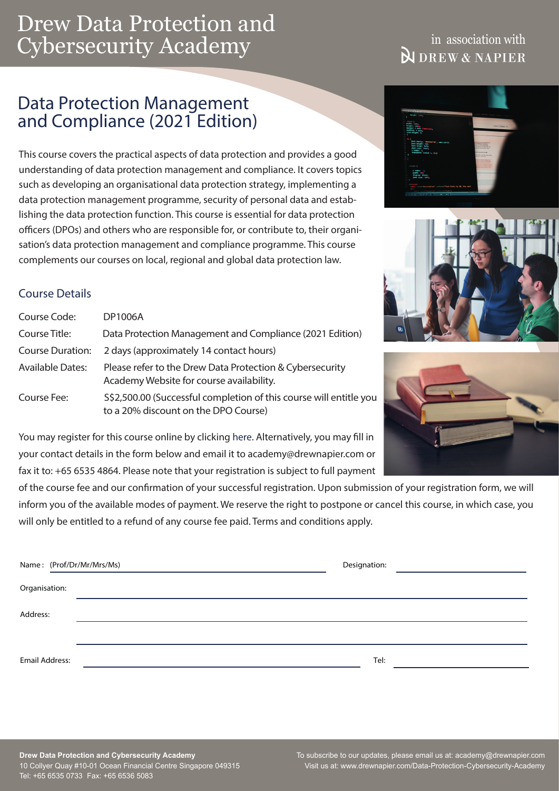# Drew Data Protection and Cybersecurity Academy

## in association with **NDREW & NAPIER**

# Data Protection Management and Compliance (2021 Edition)

This course covers the practical aspects of data protection and provides a good understanding of data protection management and compliance. It covers topics such as developing an organisational data protection strategy, implementing a data protection management programme, security of personal data and establishing the data protection function. This course is essential for data protection officers (DPOs) and others who are responsible for, or contribute to, their organisation's data protection management and compliance programme. This course complements our courses on local, regional and global data protection law.

## Course Details

| Course Code:            | <b>DP1006A</b>                                                                                             |
|-------------------------|------------------------------------------------------------------------------------------------------------|
| Course Title:           | Data Protection Management and Compliance (2021 Edition)                                                   |
| Course Duration:        | 2 days (approximately 14 contact hours)                                                                    |
| <b>Available Dates:</b> | Please refer to the Drew Data Protection & Cybersecurity<br>Academy Website for course availability.       |
| Course Fee:             | S\$2,500.00 (Successful completion of this course will entitle you<br>to a 20% discount on the DPO Course) |

You may register for this course online by clicking [here](https://www.drewnapier.com/Course-Registration-Form-CS?eventid=62). Alternatively, you may fill in your contact details in the form below and email it to academy@drewnapier.com or fax it to: +65 6535 4864. Please note that your registration is subject to full payment

of the course fee and our confirmation of your successful registration. Upon submission of your registration form, we will inform you of the available modes of payment. We reserve the right to postpone or cancel this course, in which case, you will only be entitled to a refund of any course fee paid. Terms and conditions apply.

|                       | Name: (Prof/Dr/Mr/Mrs/Ms) | Designation: |  |
|-----------------------|---------------------------|--------------|--|
| Organisation:         |                           |              |  |
| Address:              |                           |              |  |
|                       |                           |              |  |
| <b>Email Address:</b> |                           | Tel:         |  |